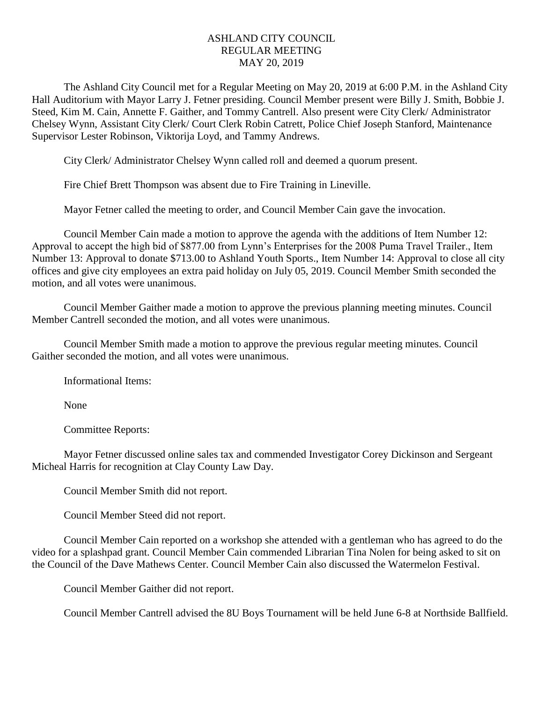## ASHLAND CITY COUNCIL REGULAR MEETING MAY 20, 2019

The Ashland City Council met for a Regular Meeting on May 20, 2019 at 6:00 P.M. in the Ashland City Hall Auditorium with Mayor Larry J. Fetner presiding. Council Member present were Billy J. Smith, Bobbie J. Steed, Kim M. Cain, Annette F. Gaither, and Tommy Cantrell. Also present were City Clerk/ Administrator Chelsey Wynn, Assistant City Clerk/ Court Clerk Robin Catrett, Police Chief Joseph Stanford, Maintenance Supervisor Lester Robinson, Viktorija Loyd, and Tammy Andrews.

City Clerk/ Administrator Chelsey Wynn called roll and deemed a quorum present.

Fire Chief Brett Thompson was absent due to Fire Training in Lineville.

Mayor Fetner called the meeting to order, and Council Member Cain gave the invocation.

Council Member Cain made a motion to approve the agenda with the additions of Item Number 12: Approval to accept the high bid of \$877.00 from Lynn's Enterprises for the 2008 Puma Travel Trailer., Item Number 13: Approval to donate \$713.00 to Ashland Youth Sports., Item Number 14: Approval to close all city offices and give city employees an extra paid holiday on July 05, 2019. Council Member Smith seconded the motion, and all votes were unanimous.

Council Member Gaither made a motion to approve the previous planning meeting minutes. Council Member Cantrell seconded the motion, and all votes were unanimous.

Council Member Smith made a motion to approve the previous regular meeting minutes. Council Gaither seconded the motion, and all votes were unanimous.

Informational Items:

None

Committee Reports:

Mayor Fetner discussed online sales tax and commended Investigator Corey Dickinson and Sergeant Micheal Harris for recognition at Clay County Law Day.

Council Member Smith did not report.

Council Member Steed did not report.

Council Member Cain reported on a workshop she attended with a gentleman who has agreed to do the video for a splashpad grant. Council Member Cain commended Librarian Tina Nolen for being asked to sit on the Council of the Dave Mathews Center. Council Member Cain also discussed the Watermelon Festival.

Council Member Gaither did not report.

Council Member Cantrell advised the 8U Boys Tournament will be held June 6-8 at Northside Ballfield.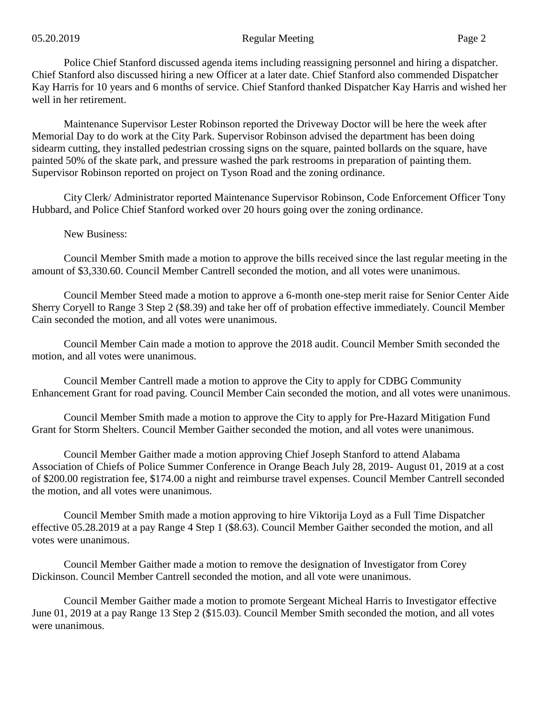Police Chief Stanford discussed agenda items including reassigning personnel and hiring a dispatcher. Chief Stanford also discussed hiring a new Officer at a later date. Chief Stanford also commended Dispatcher Kay Harris for 10 years and 6 months of service. Chief Stanford thanked Dispatcher Kay Harris and wished her well in her retirement.

Maintenance Supervisor Lester Robinson reported the Driveway Doctor will be here the week after Memorial Day to do work at the City Park. Supervisor Robinson advised the department has been doing sidearm cutting, they installed pedestrian crossing signs on the square, painted bollards on the square, have painted 50% of the skate park, and pressure washed the park restrooms in preparation of painting them. Supervisor Robinson reported on project on Tyson Road and the zoning ordinance.

City Clerk/ Administrator reported Maintenance Supervisor Robinson, Code Enforcement Officer Tony Hubbard, and Police Chief Stanford worked over 20 hours going over the zoning ordinance.

## New Business:

Council Member Smith made a motion to approve the bills received since the last regular meeting in the amount of \$3,330.60. Council Member Cantrell seconded the motion, and all votes were unanimous.

Council Member Steed made a motion to approve a 6-month one-step merit raise for Senior Center Aide Sherry Coryell to Range 3 Step 2 (\$8.39) and take her off of probation effective immediately. Council Member Cain seconded the motion, and all votes were unanimous.

Council Member Cain made a motion to approve the 2018 audit. Council Member Smith seconded the motion, and all votes were unanimous.

Council Member Cantrell made a motion to approve the City to apply for CDBG Community Enhancement Grant for road paving. Council Member Cain seconded the motion, and all votes were unanimous.

Council Member Smith made a motion to approve the City to apply for Pre-Hazard Mitigation Fund Grant for Storm Shelters. Council Member Gaither seconded the motion, and all votes were unanimous.

Council Member Gaither made a motion approving Chief Joseph Stanford to attend Alabama Association of Chiefs of Police Summer Conference in Orange Beach July 28, 2019- August 01, 2019 at a cost of \$200.00 registration fee, \$174.00 a night and reimburse travel expenses. Council Member Cantrell seconded the motion, and all votes were unanimous.

Council Member Smith made a motion approving to hire Viktorija Loyd as a Full Time Dispatcher effective 05.28.2019 at a pay Range 4 Step 1 (\$8.63). Council Member Gaither seconded the motion, and all votes were unanimous.

Council Member Gaither made a motion to remove the designation of Investigator from Corey Dickinson. Council Member Cantrell seconded the motion, and all vote were unanimous.

Council Member Gaither made a motion to promote Sergeant Micheal Harris to Investigator effective June 01, 2019 at a pay Range 13 Step 2 (\$15.03). Council Member Smith seconded the motion, and all votes were unanimous.